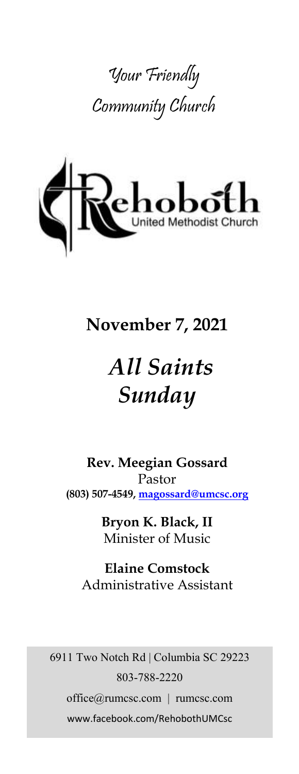



# **November 7, 2021**

# *All Saints Sunday*

**Rev. Meegian Gossard** Pastor **(803) 507-4549, magossard@umcsc.org**

> **Bryon K. Black, II** Minister of Music

**Elaine Comstock** Administrative Assistant

6911 Two Notch Rd | Columbia SC 29223 803-788-2220 office@rumcsc.com | rumcsc.com www.facebook.com/RehobothUMCsc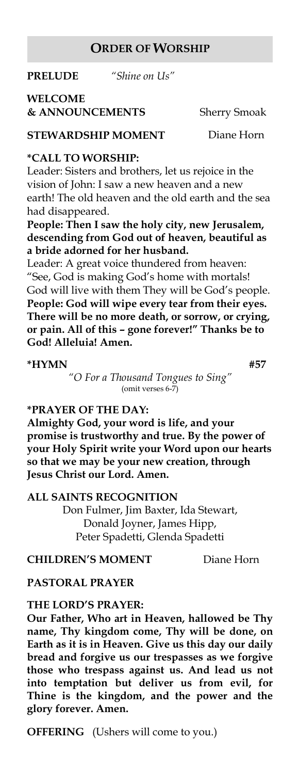#### **ORDER OF WORSHIP**

**PRELUDE** *"Shine on Us"*

# **WELCOME**

**& ANNOUNCEMENTS** Sherry Smoak

**STEWARDSHIP MOMENT** Diane Horn

#### **\*CALL TO WORSHIP:**

Leader: Sisters and brothers, let us rejoice in the vision of John: I saw a new heaven and a new earth! The old heaven and the old earth and the sea had disappeared.

**People: Then I saw the holy city, new Jerusalem, descending from God out of heaven, beautiful as a bride adorned for her husband.**

Leader: A great voice thundered from heaven: "See, God is making God's home with mortals! God will live with them They will be God's people. **People: God will wipe every tear from their eyes. There will be no more death, or sorrow, or crying, or pain. All of this – gone forever!" Thanks be to God! Alleluia! Amen.**

#### **\*HYMN #57**

*"O For a Thousand Tongues to Sing"* (omit verses 6-7)

#### **\*PRAYER OF THE DAY:**

**Almighty God, your word is life, and your promise is trustworthy and true. By the power of your Holy Spirit write your Word upon our hearts so that we may be your new creation, through Jesus Christ our Lord. Amen.**

#### **ALL SAINTS RECOGNITION**

Don Fulmer, Jim Baxter, Ida Stewart, Donald Joyner, James Hipp, Peter Spadetti, Glenda Spadetti

**CHILDREN'S MOMENT** Diane Horn

#### **PASTORAL PRAYER**

#### **THE LORD'S PRAYER:**

**Our Father, Who art in Heaven, hallowed be Thy name, Thy kingdom come, Thy will be done, on Earth as it is in Heaven. Give us this day our daily bread and forgive us our trespasses as we forgive those who trespass against us. And lead us not into temptation but deliver us from evil, for Thine is the kingdom, and the power and the glory forever. Amen.** 

**OFFERING** (Ushers will come to you.)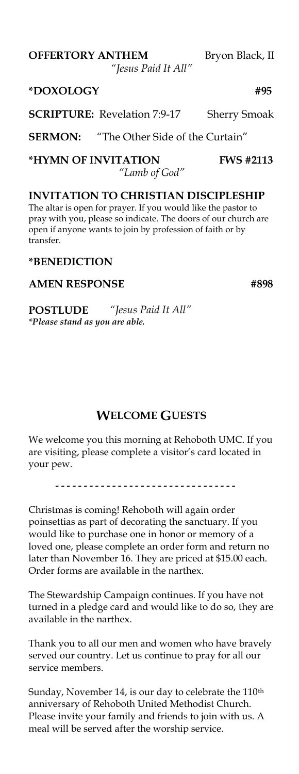**OFFERTORY ANTHEM** Bryon Black, II

*"Jesus Paid It All"*

**\*DOXOLOGY #95**

**SCRIPTURE:** Revelation 7:9-17 Sherry Smoak

**SERMON:** "The Other Side of the Curtain"

**\*HYMN OF INVITATION FWS #2113**  *"Lamb of God"*

**INVITATION TO CHRISTIAN DISCIPLESHIP** The altar is open for prayer. If you would like the pastor to pray with you, please so indicate. The doors of our church are open if anyone wants to join by profession of faith or by transfer.

#### **\*BENEDICTION**

#### AMEN RESPONSE #898

**POSTLUDE** *"Jesus Paid It All" \*Please stand as you are able.*

## **WELCOME GUESTS**

We welcome you this morning at Rehoboth UMC. If you are visiting, please complete a visitor's card located in your pew.

................................

Christmas is coming! Rehoboth will again order poinsettias as part of decorating the sanctuary. If you would like to purchase one in honor or memory of a loved one, please complete an order form and return no later than November 16. They are priced at \$15.00 each. Order forms are available in the narthex.

The Stewardship Campaign continues. If you have not turned in a pledge card and would like to do so, they are available in the narthex.

Thank you to all our men and women who have bravely served our country. Let us continue to pray for all our service members.

Sunday, November 14, is our day to celebrate the 110<sup>th</sup> anniversary of Rehoboth United Methodist Church. Please invite your family and friends to join with us. A meal will be served after the worship service.